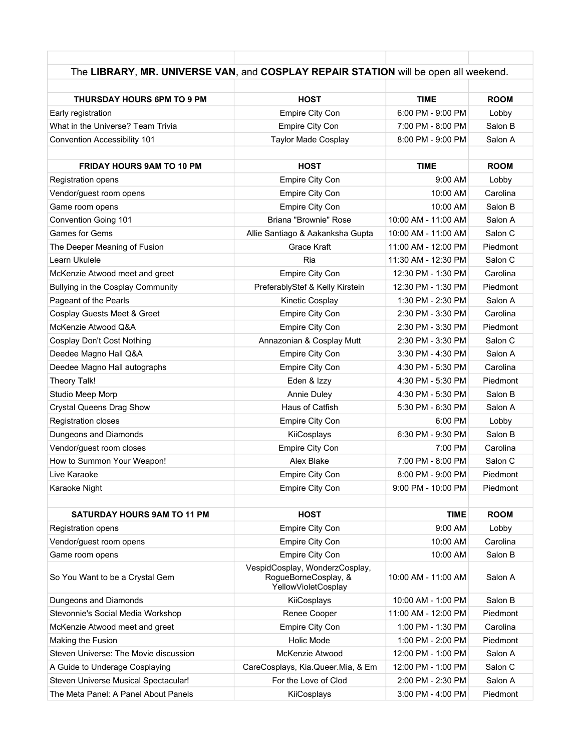| The LIBRARY, MR. UNIVERSE VAN, and COSPLAY REPAIR STATION will be open all weekend. |                                                                               |                     |             |
|-------------------------------------------------------------------------------------|-------------------------------------------------------------------------------|---------------------|-------------|
|                                                                                     |                                                                               |                     |             |
| THURSDAY HOURS 6PM TO 9 PM                                                          | <b>HOST</b>                                                                   | <b>TIME</b>         | <b>ROOM</b> |
| Early registration                                                                  | Empire City Con                                                               | 6:00 PM - 9:00 PM   | Lobby       |
| What in the Universe? Team Trivia                                                   | Empire City Con                                                               | 7:00 PM - 8:00 PM   | Salon B     |
| Convention Accessibility 101                                                        | <b>Taylor Made Cosplay</b>                                                    | 8:00 PM - 9:00 PM   | Salon A     |
| <b>FRIDAY HOURS 9AM TO 10 PM</b>                                                    | <b>HOST</b>                                                                   | <b>TIME</b>         | <b>ROOM</b> |
| Registration opens                                                                  | Empire City Con                                                               | $9:00$ AM           | Lobby       |
| Vendor/guest room opens                                                             | Empire City Con                                                               | 10:00 AM            | Carolina    |
| Game room opens                                                                     | Empire City Con                                                               | 10:00 AM            | Salon B     |
| Convention Going 101                                                                | Briana "Brownie" Rose                                                         | 10:00 AM - 11:00 AM | Salon A     |
| Games for Gems                                                                      | Allie Santiago & Aakanksha Gupta                                              | 10:00 AM - 11:00 AM | Salon C     |
| The Deeper Meaning of Fusion                                                        | Grace Kraft                                                                   | 11:00 AM - 12:00 PM | Piedmont    |
| Learn Ukulele                                                                       | Ria                                                                           | 11:30 AM - 12:30 PM | Salon C     |
| McKenzie Atwood meet and greet                                                      | Empire City Con                                                               | 12:30 PM - 1:30 PM  | Carolina    |
| Bullying in the Cosplay Community                                                   | PreferablyStef & Kelly Kirstein                                               | 12:30 PM - 1:30 PM  | Piedmont    |
| Pageant of the Pearls                                                               | Kinetic Cosplay                                                               | 1:30 PM - 2:30 PM   | Salon A     |
| Cosplay Guests Meet & Greet                                                         | Empire City Con                                                               | 2:30 PM - 3:30 PM   | Carolina    |
| McKenzie Atwood Q&A                                                                 | Empire City Con                                                               | 2:30 PM - 3:30 PM   | Piedmont    |
| Cosplay Don't Cost Nothing                                                          | Annazonian & Cosplay Mutt                                                     | 2:30 PM - 3:30 PM   | Salon C     |
| Deedee Magno Hall Q&A                                                               | Empire City Con                                                               | 3:30 PM - 4:30 PM   | Salon A     |
| Deedee Magno Hall autographs                                                        | Empire City Con                                                               | 4:30 PM - 5:30 PM   | Carolina    |
| Theory Talk!                                                                        | Eden & Izzy                                                                   | 4:30 PM - 5:30 PM   | Piedmont    |
| Studio Meep Morp                                                                    | Annie Duley                                                                   | 4:30 PM - 5:30 PM   | Salon B     |
| <b>Crystal Queens Drag Show</b>                                                     | Haus of Catfish                                                               | 5:30 PM - 6:30 PM   | Salon A     |
| <b>Registration closes</b>                                                          | Empire City Con                                                               | 6:00 PM             | Lobby       |
| Dungeons and Diamonds                                                               | KiiCosplays                                                                   | 6:30 PM - 9:30 PM   | Salon B     |
| Vendor/guest room closes                                                            | Empire City Con                                                               | 7:00 PM             | Carolina    |
| How to Summon Your Weapon!                                                          | Alex Blake                                                                    | 7:00 PM - 8:00 PM   | Salon C     |
| Live Karaoke                                                                        | Empire City Con                                                               | 8:00 PM - 9:00 PM   | Piedmont    |
| Karaoke Night                                                                       | <b>Empire City Con</b>                                                        | 9:00 PM - 10:00 PM  | Piedmont    |
| <b>SATURDAY HOURS 9AM TO 11 PM</b>                                                  | <b>HOST</b>                                                                   | <b>TIME</b>         | <b>ROOM</b> |
| Registration opens                                                                  | Empire City Con                                                               | 9:00 AM             | Lobby       |
| Vendor/guest room opens                                                             | Empire City Con                                                               | 10:00 AM            | Carolina    |
| Game room opens                                                                     | Empire City Con                                                               | 10:00 AM            | Salon B     |
| So You Want to be a Crystal Gem                                                     | VespidCosplay, WonderzCosplay,<br>RogueBorneCosplay, &<br>YellowVioletCosplay | 10:00 AM - 11:00 AM | Salon A     |
| Dungeons and Diamonds                                                               | KiiCosplays                                                                   | 10:00 AM - 1:00 PM  | Salon B     |
| Stevonnie's Social Media Workshop                                                   | Renee Cooper                                                                  | 11:00 AM - 12:00 PM | Piedmont    |
| McKenzie Atwood meet and greet                                                      | Empire City Con                                                               | 1:00 PM - 1:30 PM   | Carolina    |
| Making the Fusion                                                                   | Holic Mode                                                                    | 1:00 PM - 2:00 PM   | Piedmont    |
| Steven Universe: The Movie discussion                                               | McKenzie Atwood                                                               | 12:00 PM - 1:00 PM  | Salon A     |
| A Guide to Underage Cosplaying                                                      | CareCosplays, Kia.Queer.Mia, & Em                                             | 12:00 PM - 1:00 PM  | Salon C     |
| Steven Universe Musical Spectacular!                                                | For the Love of Clod                                                          | 2:00 PM - 2:30 PM   | Salon A     |
| The Meta Panel: A Panel About Panels                                                | KiiCosplays                                                                   | 3:00 PM - 4:00 PM   | Piedmont    |